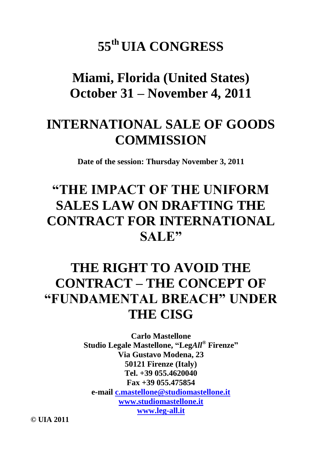# **55th UIA CONGRESS**

**Miami, Florida (United States) October 31 – November 4, 2011**

# **INTERNATIONAL SALE OF GOODS COMMISSION**

**Date of the session: Thursday November 3, 2011**

# **"THE IMPACT OF THE UNIFORM SALES LAW ON DRAFTING THE CONTRACT FOR INTERNATIONAL SALE"**

# **THE RIGHT TO AVOID THE CONTRACT – THE CONCEPT OF "FUNDAMENTAL BREACH" UNDER THE CISG**

**Carlo Mastellone Studio Legale Mastellone, "Leg***All***® Firenze" Via Gustavo Modena, 23 50121 Firenze (Italy) Tel. +39 055.4620040 Fax +39 055.475854 e-mail [c.mastellone@studiomastellone.it](mailto:c.mastellone@studiomastellone.it) [www.studiomastellone.it](http://www.studiomastellone.it/) [www.leg-all.it](http://www.leg-all.it/)**

**© UIA 2011**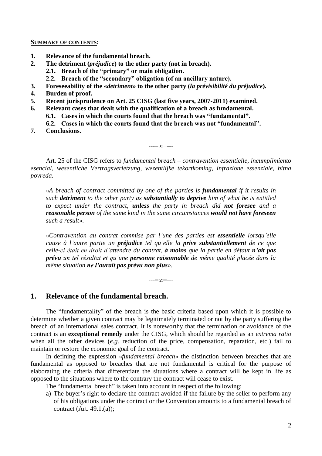#### **SUMMARY OF CONTENTS:**

- **1. Relevance of the fundamental breach.**
- **2. The detriment (***préjudice***) to the other party (not in breach).**
	- **2.1. Breach of the "primary" or main obligation.**
		- **2.2. Breach of the "secondary" obligation (of an ancillary nature).**
- **3. Foreseeability of the «***detriment***» to the other party (***la prévisibilité du préjudice***).**
- **4. Burden of proof.**
- **5. Recent jurisprudence on Art. 25 CISG (last five years, 2007-2011) examined.**
- **6. Relevant cases that dealt with the qualification of a breach as fundamental.**
	- **6.1. Cases in which the courts found that the breach was "fundamental".**
	- **6.2. Cases in which the courts found that the breach was not "fundamental".**
- **7. Conclusions.**

Art. 25 of the CISG refers to *fundamental breach – contravention essentielle, incumplimiento esencial, wesentliche Vertragsverletzung, wezentlijke tekortkoming, infrazione essenziale, bitna povreda.*

---=∞=---

«*A breach of contract committed by one of the parties is fundamental if it results in such detriment to the other party as substantially to deprive him of what he is entitled to expect under the contract, unless the party in breach did not foresee and a reasonable person of the same kind in the same circumstances would not have foreseen such a result*».

«*Contravention au contrat commise par l'une des parties est essentielle lorsqu'elle cause à l'autre partie un préjudice tel qu'elle la prive substantiellement de ce que celle-ci était en droit d'attendre du contrat, à moins que la partie en défaut n'ait pas prévu un tel résultat et qu'une personne raisonnable de même qualité placée dans la même situation ne l'aurait pas prévu non plus*».

---=∞=---

# **1. Relevance of the fundamental breach.**

The "fundamentality" of the breach is the basic criteria based upon which it is possible to determine whether a given contract may be legitimately terminated or not by the party suffering the breach of an international sales contract. It is noteworthy that the termination or avoidance of the contract is an **exceptional remedy** under the CISG, which should be regarded as an *extrema ratio* when all the other devices *(e.g.* reduction of the price, compensation, reparation, etc.) fail to maintain or restore the economic goal of the contract.

In defining the expression «*fundamental breach*» the distinction between breaches that are fundamental as opposed to breaches that are not fundamental is critical for the purpose of elaborating the criteria that differentiate the situations where a contract will be kept in life as opposed to the situations where to the contrary the contract will cease to exist.

The "fundamental breach" is taken into account in respect of the following:

a) The buyer's right to declare the contract avoided if the failure by the seller to perform any of his obligations under the contract or the Convention amounts to a fundamental breach of contract (Art. 49.1.(a));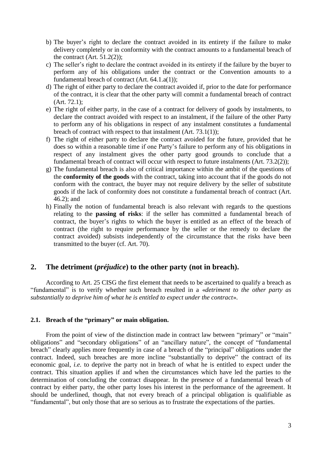- b) The buyer's right to declare the contract avoided in its entirety if the failure to make delivery completely or in conformity with the contract amounts to a fundamental breach of the contract  $(Art. 51.2(2))$ ;
- c) The seller's right to declare the contract avoided in its entirety if the failure by the buyer to perform any of his obligations under the contract or the Convention amounts to a fundamental breach of contract (Art. 64.1.a(1));
- d) The right of either party to declare the contract avoided if, prior to the date for performance of the contract, it is clear that the other party will commit a fundamental breach of contract (Art. 72.1);
- e) The right of either party, in the case of a contract for delivery of goods by instalments, to declare the contract avoided with respect to an instalment, if the failure of the other Party to perform any of his obligations in respect of any instalment constitutes a fundamental breach of contract with respect to that instalment (Art. 73.1(1));
- f) The right of either party to declare the contract avoided for the future, provided that he does so within a reasonable time if one Party's failure to perform any of his obligations in respect of any instalment gives the other party good grounds to conclude that a fundamental breach of contract will occur with respect to future instalments (Art. 73.2(2));
- g) The fundamental breach is also of critical importance within the ambit of the questions of the **conformity of the goods** with the contract, taking into account that if the goods do not conform with the contract, the buyer may not require delivery by the seller of substitute goods if the lack of conformity does not constitute a fundamental breach of contract (Art. 46.2); and
- h) Finally the notion of fundamental breach is also relevant with regards to the questions relating to the **passing of risks**: if the seller has committed a fundamental breach of contract, the buyer's rights to which the buyer is entitled as an effect of the breach of contract (the right to require performance by the seller or the remedy to declare the contract avoided) subsists independently of the circumstance that the risks have been transmitted to the buyer (cf. Art. 70).

# **2. The detriment (***préjudice***) to the other party (not in breach).**

According to Art. 25 CISG the first element that needs to be ascertained to qualify a breach as "fundamental" is to verify whether such breach resulted in a «*detriment to the other party as substantially to deprive him of what he is entitled to expect under the contract*».

#### **2.1. Breach of the "primary" or main obligation.**

From the point of view of the distinction made in contract law between "primary" or "main" obligations" and "secondary obligations" of an "ancillary nature", the concept of "fundamental breach" clearly applies more frequently in case of a breach of the "principal" obligations under the contract. Indeed, such breaches are more incline "substantially to deprive" the contract of its economic goal, *i.e.* to deprive the party not in breach of what he is entitled to expect under the contract. This situation applies if and when the circumstances which have led the parties to the determination of concluding the contract disappear. In the presence of a fundamental breach of contract by either party, the other party loses his interest in the performance of the agreement. It should be underlined, though, that not every breach of a principal obligation is qualifiable as "fundamental", but only those that are so serious as to frustrate the expectations of the parties.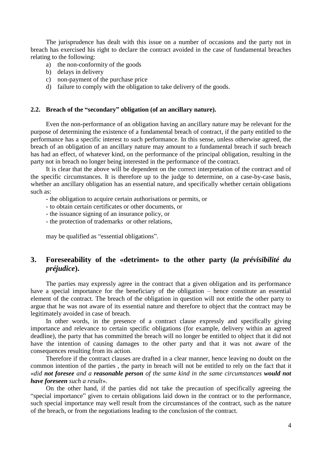The jurisprudence has dealt with this issue on a number of occasions and the party not in breach has exercised his right to declare the contract avoided in the case of fundamental breaches relating to the following:

- a) the non-conformity of the goods
- b) delays in delivery
- c) non-payment of the purchase price
- d) failure to comply with the obligation to take delivery of the goods.

#### **2.2. Breach of the "secondary" obligation (of an ancillary nature).**

Even the non-performance of an obligation having an ancillary nature may be relevant for the purpose of determining the existence of a fundamental breach of contract, if the party entitled to the performance has a specific interest to such performance. In this sense, unless otherwise agreed, the breach of an obligation of an ancillary nature may amount to a fundamental breach if such breach has had an effect, of whatever kind, on the performance of the principal obligation, resulting in the party not in breach no longer being interested in the performance of the contract.

It is clear that the above will be dependent on the correct interpretation of the contract and of the specific circumstances. It is therefore up to the judge to determine, on a case-by-case basis, whether an ancillary obligation has an essential nature, and specifically whether certain obligations such as:

- the obligation to acquire certain authorisations or permits, or

- to obtain certain certificates or other documents, or
- the issuance signing of an insurance policy, or
- the protection of trademarks or other relations,

may be qualified as "essential obligations".

# **3. Foreseeability of the «detriment» to the other party (***la prévisibilité du préjudice***).**

The parties may expressly agree in the contract that a given obligation and its performance have a special importance for the beneficiary of the obligation – hence constitute an essential element of the contract. The breach of the obligation in question will not entitle the other party to argue that he was not aware of its essential nature and therefore to object that the contract may be legitimately avoided in case of breach.

In other words, in the presence of a contract clause expressly and specifically giving importance and relevance to certain specific obligations (for example, delivery within an agreed deadline), the party that has committed the breach will no longer be entitled to object that it did not have the intention of causing damages to the other party and that it was not aware of the consequences resulting from its action.

Therefore if the contract clauses are drafted in a clear manner, hence leaving no doubt on the common intention of the parties , the party in breach will not be entitled to rely on the fact that it «*did not foresee and a reasonable person of the same kind in the same circumstances would not have foreseen such a result*».

On the other hand, if the parties did not take the precaution of specifically agreeing the "special importance" given to certain obligations laid down in the contract or to the performance, such special importance may well result from the circumstances of the contract, such as the nature of the breach, or from the negotiations leading to the conclusion of the contract.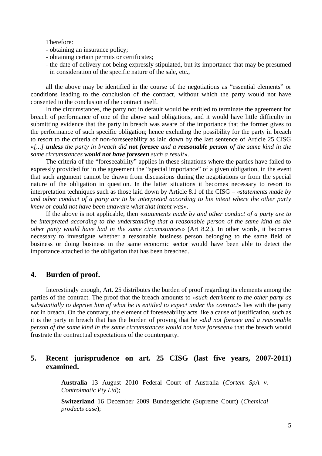#### Therefore:

- obtaining an insurance policy;
- obtaining certain permits or certificates;
- the date of delivery not being expressly stipulated, but its importance that may be presumed in consideration of the specific nature of the sale, etc.,

all the above may be identified in the course of the negotiations as "essential elements" or conditions leading to the conclusion of the contract, without which the party would not have consented to the conclusion of the contract itself.

In the circumstances, the party not in default would be entitled to terminate the agreement for breach of performance of one of the above said obligations, and it would have little difficulty in submitting evidence that the party in breach was aware of the importance that the former gives to the performance of such specific obligation; hence excluding the possibility for the party in breach to resort to the criteria of non-foreseeability as laid down by the last sentence of Article 25 CISG «*[...] unless the party in breach did not foresee and a reasonable person of the same kind in the same circumstances would not have foreseen such a result*».

The criteria of the "foreseeability" applies in these situations where the parties have failed to expressly provided for in the agreement the "special importance" of a given obligation, in the event that such argument cannot be drawn from discussions during the negotiations or from the special nature of the obligation in question. In the latter situations it becomes necessary to resort to interpretation techniques such as those laid down by Article 8.1 of the CISG – «*statements made by and other conduct of a party are to be interpreted according to his intent where the other party knew or could not have been unaware what that intent was*».

If the above is not applicable, then «*statements made by and other conduct of a party are to be interpreted according to the understanding that a reasonable person of the same kind as the other party would have had in the same circumstances*» (Art 8.2.). In other words, it becomes necessary to investigate whether a reasonable business person belonging to the same field of business or doing business in the same economic sector would have been able to detect the importance attached to the obligation that has been breached.

# **4. Burden of proof.**

Interestingly enough, Art. 25 distributes the burden of proof regarding its elements among the parties of the contract. The proof that the breach amounts to «*such detriment to the other party as substantially to deprive him of what he is entitled to expect under the contract*» lies with the party not in breach. On the contrary, the element of foreseeability acts like a cause of justification, such as it is the party in breach that has the burden of proving that he «*did not foresee and a reasonable person of the same kind in the same circumstances would not have foreseen*» that the breach would frustrate the contractual expectations of the counterparty.

# **5. Recent jurisprudence on art. 25 CISG (last five years, 2007-2011) examined.**

- **Australia** [13 August 2010 Federal Court of Australia \(](http://cisgw3.law.pace.edu/cases/100813a2.html)*Cortem SpA v. [Controlmatic Pty Ltd](http://cisgw3.law.pace.edu/cases/100813a2.html)*);
- **Switzerland** [16 December 2009 Bundesgericht \(Supreme](http://cisgw3.law.pace.edu/cases/091216s1.html) Court) (*Chemical [products case](http://cisgw3.law.pace.edu/cases/091216s1.html)*);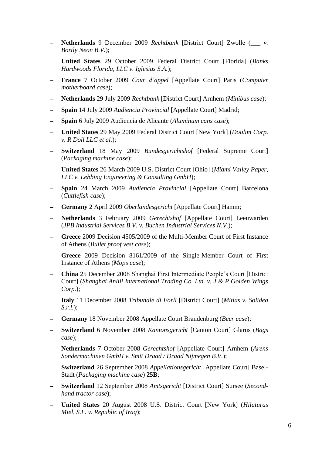- $\equiv$ **Netherlands** 9 December 2009 *Rechtbank* [\[District Court\] Zwolle \(](http://cisgw3.law.pace.edu/cases/091209n1.html)*\_\_\_ v. [Bortly Neon B.V.](http://cisgw3.law.pace.edu/cases/091209n1.html)*);
- **United States** [29 October 2009 Federal District Court \[Florida\] \(](http://cisgw3.law.pace.edu/cases/091029u1.html)*Banks [Hardwoods Florida, LLC v. Iglesias S.A.](http://cisgw3.law.pace.edu/cases/091029u1.html)*);
- **France** 7 October 2009 *Cour d'appel* [\[Appellate Court\] Paris \(](http://cisgw3.law.pace.edu/cases/091007f1.html)*Computer*   $\equiv$ *[motherboard case](http://cisgw3.law.pace.edu/cases/091007f1.html)*);
- **Netherlands** 29 July 2009 *Rechtbank* [\[District Court\] Arnhem \(](http://cisgw3.law.pace.edu/cases/090729n1.html)*Minibus case*);
- **Spain** 14 July 2009 *Audiencia Provincial* [\[Appellate Court\] Madrid;](http://cisgw3.law.pace.edu/cases/090714s4.html)
- **Spain** [6 July 2009 Audiencia de Alicante \(](http://cisgw3.law.pace.edu/cases/090706s4.html)*Aluminum cans case*);
- **United States** [29 May 2009 Federal District Court \[New York\] \(](http://cisgw3.law.pace.edu/cases/090529u1.html)*Doolim Corp. [v. R Doll LLC et al.](http://cisgw3.law.pace.edu/cases/090529u1.html)*);
- **Switzerland** 18 May 2009 *Bundesgerichtshof* [\[Federal Supreme Court\]](http://cisgw3.law.pace.edu/cases/090518s1.html)  (*[Packaging machine case](http://cisgw3.law.pace.edu/cases/090518s1.html)*);
- **United States** [26 March 2009 U.S. District Court \[Ohio\] \(](http://cisgw3.law.pace.edu/cases/090326u1.html)*Miami Valley Paper, [LLC v. Lebbing Engineering & Consulting GmbH](http://cisgw3.law.pace.edu/cases/090326u1.html)*);
- **Spain** 24 March 2009 *Audiencia Provincial* [\[Appellate Court\] Barcelona](http://cisgw3.law.pace.edu/cases/090324s4.html) (*[Cuttlefish case](http://cisgw3.law.pace.edu/cases/090324s4.html)*);
- **Germany** 2 April 2009 *Oberlandesgericht* [\[Appellate Court\] Hamm;](http://cisgw3.law.pace.edu/cases/090402g1.html)
- **Netherlands** 3 February 2009 *Gerechtshof* [\[Appellate Court\] Leeuwarden](http://cisgw3.law.pace.edu/cases/090203n1.html)  (*[JPB Industrial Services B.V. v. Buchen Industrial Services N.V.](http://cisgw3.law.pace.edu/cases/090203n1.html)*);
- **Greece** [2009 Decision 4505/2009 of the Multi-Member Court of First Instance](http://cisgw3.law.pace.edu/cases/094505gr.html)  of Athens (*[Bullet proof vest case](http://cisgw3.law.pace.edu/cases/094505gr.html)*);
- **Greece** [2009 Decision 8161/2009 of the Single-Member Court of First](http://cisgw3.law.pace.edu/cases/090000gr.html)  [Instance of Athens \(](http://cisgw3.law.pace.edu/cases/090000gr.html)*Mops case*);
- **China** [25 December 2008 Shanghai First Intermediate People's Court \[District](http://cisgw3.law.pace.edu/cases/081225c1.html)  Court] (*[Shanghai Anlili International Trading Co. Ltd. v. J & P Golden Wings](http://cisgw3.law.pace.edu/cases/081225c1.html)  [Corp.](http://cisgw3.law.pace.edu/cases/081225c1.html)*);
- **Italy** [11 December 2008](http://cisgw3.law.pace.edu/cases/081211i3.html) *Tribunale di Forlì* [District Court] (*Mitias v. Solidea*   $\equiv$   $^{-1}$ *[S.r.l.](http://cisgw3.law.pace.edu/cases/081211i3.html)*);
- **Germany** 18 November 2008 Appellate Court Brandenburg (*Beer case*);
- **Switzerland** 6 November 2008 *Kantonsgericht* [\[Canton Court\] Glarus \(](http://cisgw3.law.pace.edu/cases/081106s1.html)*Bags [case](http://cisgw3.law.pace.edu/cases/081106s1.html)*);
- **Netherlands** 7 October 2008 *Gerechtshof* [\[Appellate Court\] Arnhem \(](http://cisgw3.law.pace.edu/cases/081007n1.html)*Arens [Sondermachinen GmbH v. Smit Draad / Draad Nijmegen B.V.](http://cisgw3.law.pace.edu/cases/081007n1.html)*);
- **Switzerland** 26 September 2008 *Appellationsgericht* [\[Appellate Court\] Basel-](http://cisgw3.law.pace.edu/cases/080926s1.html) $\equiv$  . Stadt (*[Packaging machine case](http://cisgw3.law.pace.edu/cases/080926s1.html)*) **25B**;
- **Switzerland** 12 September 2008 *Amtsgericht* [\[District Court\] Sursee \(](http://cisgw3.law.pace.edu/cases/080912s1.html)*Second-* $\equiv$ *[hand tractor case](http://cisgw3.law.pace.edu/cases/080912s1.html)*);
- **United States** [20 August 2008 U.S. District Court \[New York\] \(](http://cisgw3.law.pace.edu/cases/080820u1.html)*Hilaturas [Miel, S.L. v. Republic of Iraq](http://cisgw3.law.pace.edu/cases/080820u1.html)*);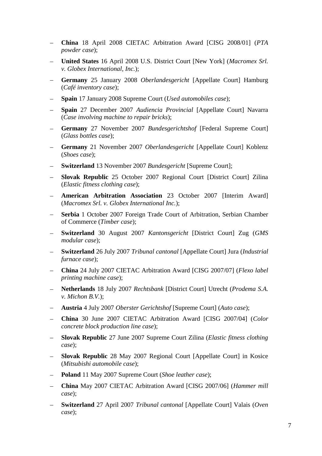- **China** [18 April 2008 CIETAC Arbitration Award \[CISG 2008/01\] \(](http://cisgw3.law.pace.edu/cases/080418c1.html)*PTA [powder case](http://cisgw3.law.pace.edu/cases/080418c1.html)*);
- **United States** [16 April 2008 U.S. District Court \[New York\] \(](http://cisgw3.law.pace.edu/cases/080416u1.html)*Macromex Srl. [v. Globex International, Inc.](http://cisgw3.law.pace.edu/cases/080416u1.html)*);
- **Germany** 25 January 2008 *Oberlandesgericht* [\[Appellate Court\] Hamburg](http://cisgw3.law.pace.edu/cases/080125g1.html)  (*[Café inventory case](http://cisgw3.law.pace.edu/cases/080125g1.html)*);
- **Spain** [17 January 2008 Supreme Court \(](http://cisgw3.law.pace.edu/cases/080117s4.html)*Used automobiles case*);
- **Spain** 27 December 2007 *Audiencia Provincial* [\[Appellate Court\] Navarra](http://cisgw3.law.pace.edu/cases/071227s4.html)  (*[Case involving machine to repair bricks](http://cisgw3.law.pace.edu/cases/071227s4.html)*);
- **Germany** 27 November 2007 *Bundesgerichtshof* [\[Federal Supreme Court\]](http://cisgw3.law.pace.edu/cases/071127g1.html)  (*[Glass bottles case](http://cisgw3.law.pace.edu/cases/071127g1.html)*);
- **Germany** 21 November 2007 *Oberlandesgericht* [\[Appellate Court\] Koblenz](http://cisgw3.law.pace.edu/cases/071121g1.html)  (*[Shoes case](http://cisgw3.law.pace.edu/cases/071121g1.html)*);
- **Switzerland** [13 November 2007](http://cisgw3.law.pace.edu/cases/071113s1.html) *Bundesgericht* [Supreme Court];
- **Slovak Republic** [25 October 2007 Regional Court \[District Court\] Zilina](http://cisgw3.law.pace.edu/cases/071025k1.html)  (*[Elastic fitness clothing case](http://cisgw3.law.pace.edu/cases/071025k1.html)*);
- **American Arbitration Association** [23 October 2007 \[Interim Award\]](http://cisgw3.law.pace.edu/cases/071023a5.html)  (*[Macromex Srl. v. Globex International Inc.](http://cisgw3.law.pace.edu/cases/071023a5.html)*);
- **Serbia** [1 October 2007 Foreign Trade Court of Arbitration, Serbian Chamber](http://cisgw3.law.pace.edu/cases/071001sb.html)   $\overline{\phantom{0}}$ [of Commerce \(](http://cisgw3.law.pace.edu/cases/071001sb.html)*Timber case*);
- **Switzerland** 30 August 2007 *Kantonsgericht* [\[District Court\] Zug \(](http://cisgw3.law.pace.edu/cases/070830s1.html)*GMS*   $\equiv$ *[modular case](http://cisgw3.law.pace.edu/cases/070830s1.html)*);
- **Switzerland** 26 July 2007 *Tribunal cantonal* [\[Appellate Court\] Jura \(](http://cisgw3.law.pace.edu/cases/070726s1.html)*Industrial*   $\frac{1}{2} \left( \frac{1}{2} \right)$ *[furnace case](http://cisgw3.law.pace.edu/cases/070726s1.html)*);
- $\equiv$ **China** [24 July 2007 CIETAC Arbitration Award \[CISG 2007/07\] \(](http://cisgw3.law.pace.edu/cases/070724c1.html)*Flexo label [printing machine case](http://cisgw3.law.pace.edu/cases/070724c1.html)*);
- **Netherlands** 18 July 2007 *Rechtsbank* [\[District Court\] Utrecht \(](http://cisgw3.law.pace.edu/cases/070718n1.html)*Prodema S.A.*   $\,$ *[v. Michon B.V.](http://cisgw3.law.pace.edu/cases/070718n1.html)*);
- **Austria** 4 July 2007 *[Oberster Gerichtshof](http://cisgw3.law.pace.edu/cases/070704a3.html)* [Supreme Court] (*Auto case*);
- **China** [30 June 2007 CIETAC Arbitration Award \[CISG 2007/04\] \(](http://cisgw3.law.pace.edu/cases/070630c1.html)*Color [concrete block production line case](http://cisgw3.law.pace.edu/cases/070630c1.html)*);
- **Slovak Republic** [27 June 2007 Supreme Court Zilina \(](http://cisgw3.law.pace.edu/cases/070627k2.html)*Elastic fitness clothing [case](http://cisgw3.law.pace.edu/cases/070627k2.html)*);
- **Slovak Republic** [28 May 2007 Regional Court \[Appellate Court\] in Kosice](http://cisgw3.law.pace.edu/cases/070528k1.html)  (*[Mitsubishi automobile case](http://cisgw3.law.pace.edu/cases/070528k1.html)*);
- **Poland** [11 May 2007 Supreme Court \(](http://cisgw3.law.pace.edu/cases/070511p1.html)*Shoe leather case*);  $\equiv$
- **China** [May 2007 CIETAC Arbitration Award \[CISG 2007/06\] \(](http://cisgw3.law.pace.edu/cases/070500c1.html)*Hammer mill [case](http://cisgw3.law.pace.edu/cases/070500c1.html)*);
- **Switzerland** 27 April 2007 *Tribunal cantonal* [\[Appellate Court\] Valais \(](http://cisgw3.law.pace.edu/cases/070427s1.html)*Oven [case](http://cisgw3.law.pace.edu/cases/070427s1.html)*);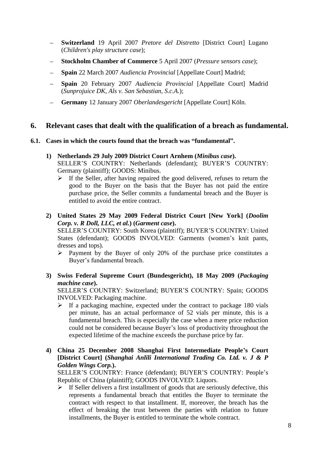- **Switzerland** 19 April 2007 *Pretore del Distretto* [\[District Court\] Lugano](http://cisgw3.law.pace.edu/cases/070419s1.html)   $\,$ (*[Children's play structure case](http://cisgw3.law.pace.edu/cases/070419s1.html)*);
- **Stockholm Chamber of Commerce** 5 April 2007 (*[Pressure sensors case](http://cisgw3.law.pace.edu/cases/070405s5.html)*);
- **Spain** 22 March 2007 *Audiencia Provincial* [\[Appellate Court\] Madrid;](http://cisgw3.law.pace.edu/cases/070322s4.html)
- **Spain** 20 February 2007 *Audiencia Provincial* [\[Appellate Court\] Madrid](http://cisgw3.law.pace.edu/cases/070220s4.html)   $\equiv$ (*[Sunprojuice DK, Als v. San Sebastian, S.c.A.](http://cisgw3.law.pace.edu/cases/070220s4.html)*);
- **Germany** 12 January 2007 *Oberlandesgericht* [\[Appellate Court\] Köln.](http://cisgw3.law.pace.edu/cases/070112g1.html)

# **6. Relevant cases that dealt with the qualification of a breach as fundamental.**

## **6.1. Cases in which the courts found that the breach was "fundamental".**

- **1) Netherlands 29 July 2009 District Court Arnhem (***Minibus case***).** SELLER'S COUNTRY: Netherlands (defendant); BUYER'S COUNTRY: Germany (plaintiff); GOODS: Minibus.
	- $\triangleright$  If the Seller, after having repaired the good delivered, refuses to return the good to the Buyer on the basis that the Buyer has not paid the entire purchase price, the Seller commits a fundamental breach and the Buyer is entitled to avoid the entire contract.
- **2) United States 29 May 2009 Federal District Court [New York] (***Doolim Corp. v. R Doll, LLC, et al.***) (***Garment case***).** SELLER'S COUNTRY: South Korea (plaintiff); BUYER'S COUNTRY: United

States (defendant); GOODS INVOLVED: Garments (women's knit pants, dresses and tops).

- $\triangleright$  Payment by the Buyer of only 20% of the purchase price constitutes a Buyer's fundamental breach.
- **3) Swiss Federal Supreme Court (Bundesgericht), 18 May 2009 (***Packaging machine case***).**

SELLER'S COUNTRY: Switzerland; BUYER'S COUNTRY: Spain; GOODS INVOLVED: Packaging machine.

- $\triangleright$  If a packaging machine, expected under the contract to package 180 vials per minute, has an actual performance of 52 vials per minute, this is a fundamental breach. This is especially the case when a mere price reduction could not be considered because Buyer's loss of productivity throughout the expected lifetime of the machine exceeds the purchase price by far.
- **4) China 25 December 2008 Shanghai First Intermediate People's Court [District Court] (***Shanghai Anlili International Trading Co. Ltd. v. J & P Golden Wings Corp.***).**

SELLER'S COUNTRY: France (defendant); BUYER'S COUNTRY: People's Republic of China (plaintiff); GOODS INVOLVED: Liquors.

 $\triangleright$  If Seller delivers a first installment of goods that are seriously defective, this represents a fundamental breach that entitles the Buyer to terminate the contract with respect to that installment. If, moreover, the breach has the effect of breaking the trust between the parties with relation to future installments, the Buyer is entitled to terminate the whole contract.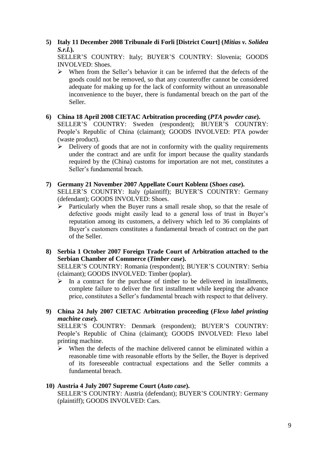# **5) Italy 11 December 2008 Tribunale di Forli [District Court] (***Mitias v. Solidea S.r.l.***).**

SELLER'S COUNTRY: Italy; BUYER'S COUNTRY: Slovenia; GOODS INVOLVED: Shoes.

 $\triangleright$  When from the Seller's behavior it can be inferred that the defects of the goods could not be removed, so that any counteroffer cannot be considered adequate for making up for the lack of conformity without an unreasonable inconvenience to the buyer, there is fundamental breach on the part of the Seller.

#### **6) China 18 April 2008 CIETAC Arbitration proceeding (***PTA powder case***).**

SELLER'S COUNTRY: Sweden (respondent); BUYER'S COUNTRY: People's Republic of China (claimant); GOODS INVOLVED: PTA powder (waste product).

 $\triangleright$  Delivery of goods that are not in conformity with the quality requirements under the contract and are unfit for import because the quality standards required by the (China) customs for importation are not met, constitutes a Seller's fundamental breach.

#### **7) Germany 21 November 2007 Appellate Court Koblenz (***Shoes case***).** SELLER'S COUNTRY: Italy (plaintiff); BUYER'S COUNTRY: Germany (defendant); GOODS INVOLVED: Shoes.

 $\triangleright$  Particularly when the Buyer runs a small resale shop, so that the resale of defective goods might easily lead to a general loss of trust in Buyer's reputation among its customers, a delivery which led to 36 complaints of Buyer's customers constitutes a fundamental breach of contract on the part of the Seller.

### **8) Serbia 1 October 2007 Foreign Trade Court of Arbitration attached to the Serbian Chamber of Commerce (***Timber case***).**

SELLER'S COUNTRY: Romania (respondent); BUYER'S COUNTRY: Serbia (claimant); GOODS INVOLVED: Timber (poplar).

 $\triangleright$  In a contract for the purchase of timber to be delivered in installments, complete failure to deliver the first installment while keeping the advance price, constitutes a Seller's fundamental breach with respect to that delivery.

## **9) China 24 July 2007 CIETAC Arbitration proceeding (***Flexo label printing machine case***).**

SELLER'S COUNTRY: Denmark (respondent); BUYER'S COUNTRY: People's Republic of China (claimant); GOODS INVOLVED: Flexo label printing machine.

 $\triangleright$  When the defects of the machine delivered cannot be eliminated within a reasonable time with reasonable efforts by the Seller, the Buyer is deprived of its foreseeable contractual expectations and the Seller commits a fundamental breach.

## **10) Austria 4 July 2007 Supreme Court (***Auto case***).**

SELLER'S COUNTRY: Austria (defendant); BUYER'S COUNTRY: Germany (plaintiff); GOODS INVOLVED: Cars.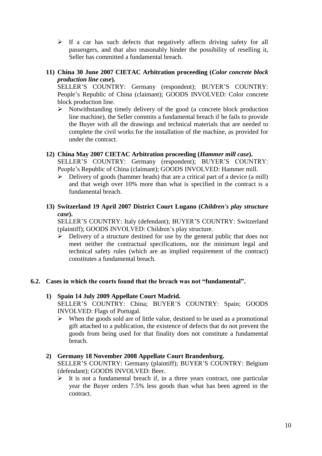$\triangleright$  If a car has such defects that negatively affects driving safety for all passengers, and that also reasonably hinder the possibility of reselling it, Seller has committed a fundamental breach.

### **11) China 30 June 2007 CIETAC Arbitration proceeding (***Color concrete block production line case***).**

SELLER'S COUNTRY: Germany (respondent); BUYER'S COUNTRY: People's Republic of China (claimant); GOODS INVOLVED: Color concrete block production line.

 $\triangleright$  Notwithstanding timely delivery of the good (a concrete block production line machine), the Seller commits a fundamental breach if he fails to provide the Buyer with all the drawings and technical materials that are needed to complete the civil works for the installation of the machine, as provided for under the contract.

## **12) China May 2007 CIETAC Arbitration proceeding (***Hammer mill case***).**

SELLER'S COUNTRY: Germany (respondent); BUYER'S COUNTRY: People's Republic of China (claimant); GOODS INVOLVED: Hammer mill.

 $\triangleright$  Delivery of goods (hammer heads) that are a critical part of a device (a mill) and that weigh over 10% more than what is specified in the contract is a fundamental breach.

# **13) Switzerland 19 April 2007 District Court Lugano (***Children's play structure case***).**

SELLER'S COUNTRY: Italy (defendant); BUYER'S COUNTRY: Switzerland (plaintiff); GOODS INVOLVED: Children's play structure.

 $\triangleright$  Delivery of a structure destined for use by the general public that does not meet neither the contractual specifications, nor the minimum legal and technical safety rules (which are an implied requirement of the contract) constitutes a fundamental breach.

## **6.2. Cases in which the courts found that the breach was not "fundamental".**

## **1) Spain 14 July 2009 Appellate Court Madrid.**

SELLER'S COUNTRY: China; BUYER'S COUNTRY: Spain; GOODS INVOLVED: Flags of Portugal.

 $\triangleright$  When the goods sold are of little value, destined to be used as a promotional gift attached to a publication, the existence of defects that do not prevent the goods from being used for that finality does not constitute a fundamental breach.

## **2) Germany 18 November 2008 Appellate Court Brandenburg.**

SELLER'S COUNTRY: Germany (plaintiff); BUYER'S COUNTRY: Belgium (defendant); GOODS INVOLVED: Beer.

 $\triangleright$  It is not a fundamental breach if, in a three years contract, one particular year the Buyer orders 7.5% less goods than what has been agreed in the contract.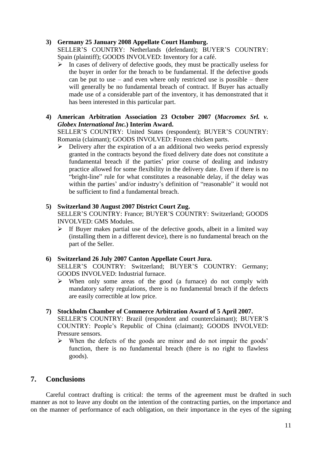## **3) Germany 25 January 2008 Appellate Court Hamburg.**

SELLER'S COUNTRY: Netherlands (defendant); BUYER'S COUNTRY: Spain (plaintiff); GOODS INVOLVED: Inventory for a café.

- $\triangleright$  In cases of delivery of defective goods, they must be practically useless for the buyer in order for the breach to be fundamental. If the defective goods can be put to use – and even where only restricted use is possible – there will generally be no fundamental breach of contract. If Buyer has actually made use of a considerable part of the inventory, it has demonstrated that it has been interested in this particular part.
- **4) American Arbitration Association 23 October 2007 (***Macromex Srl. v. Globex International Inc.***) Interim Award.**

SELLER'S COUNTRY: United States (respondent); BUYER'S COUNTRY: Romania (claimant); GOODS INVOLVED: Frozen chicken parts.

 $\triangleright$  Delivery after the expiration of a an additional two weeks period expressly granted in the contracts beyond the fixed delivery date does not constitute a fundamental breach if the parties' prior course of dealing and industry practice allowed for some flexibility in the delivery date. Even if there is no "bright-line" rule for what constitutes a reasonable delay, if the delay was within the parties' and/or industry's definition of "reasonable" it would not be sufficient to find a fundamental breach.

#### **5) Switzerland 30 August 2007 District Court Zug.**

SELLER'S COUNTRY: France; BUYER'S COUNTRY: Switzerland; GOODS INVOLVED: GMS Modules.

 $\triangleright$  If Buyer makes partial use of the defective goods, albeit in a limited way (installing them in a different device), there is no fundamental breach on the part of the Seller.

#### **6) Switzerland 26 July 2007 Canton Appellate Court Jura.**

SELLER'S COUNTRY: Switzerland; BUYER'S COUNTRY: Germany; GOODS INVOLVED: Industrial furnace.

- $\triangleright$  When only some areas of the good (a furnace) do not comply with mandatory safety regulations, there is no fundamental breach if the defects are easily correctible at low price.
- **7) Stockholm Chamber of Commerce Arbitration Award of 5 April 2007.** SELLER'S COUNTRY: Brazil (respondent and counterclaimant); BUYER'S COUNTRY: People's Republic of China (claimant); GOODS INVOLVED: Pressure sensors.
	- When the defects of the goods are minor and do not impair the goods' function, there is no fundamental breach (there is no right to flawless goods).

# **7. Conclusions**

Careful contract drafting is critical: the terms of the agreement must be drafted in such manner as not to leave any doubt on the intention of the contracting parties, on the importance and on the manner of performance of each obligation, on their importance in the eyes of the signing